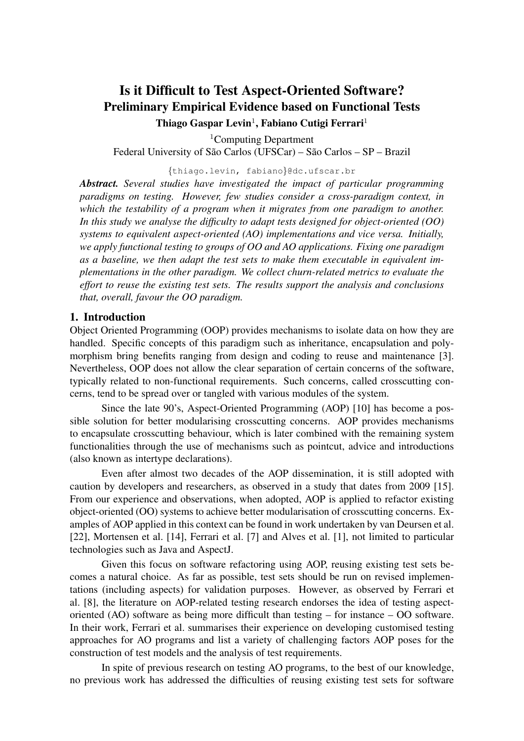# Is it Difficult to Test Aspect-Oriented Software? Preliminary Empirical Evidence based on Functional Tests Thiago Gaspar Levin<sup>1</sup>, Fabiano Cutigi Ferrari<sup>1</sup>

<sup>1</sup>Computing Department

Federal University of São Carlos (UFSCar) – São Carlos – SP – Brazil

{thiago.levin, fabiano}@dc.ufscar.br

*Abstract. Several studies have investigated the impact of particular programming paradigms on testing. However, few studies consider a cross-paradigm context, in which the testability of a program when it migrates from one paradigm to another. In this study we analyse the difficulty to adapt tests designed for object-oriented (OO) systems to equivalent aspect-oriented (AO) implementations and vice versa. Initially, we apply functional testing to groups of OO and AO applications. Fixing one paradigm as a baseline, we then adapt the test sets to make them executable in equivalent implementations in the other paradigm. We collect churn-related metrics to evaluate the effort to reuse the existing test sets. The results support the analysis and conclusions that, overall, favour the OO paradigm.*

### 1. Introduction

Object Oriented Programming (OOP) provides mechanisms to isolate data on how they are handled. Specific concepts of this paradigm such as inheritance, encapsulation and polymorphism bring benefits ranging from design and coding to reuse and maintenance [3]. Nevertheless, OOP does not allow the clear separation of certain concerns of the software, typically related to non-functional requirements. Such concerns, called crosscutting concerns, tend to be spread over or tangled with various modules of the system.

Since the late 90's, Aspect-Oriented Programming (AOP) [10] has become a possible solution for better modularising crosscutting concerns. AOP provides mechanisms to encapsulate crosscutting behaviour, which is later combined with the remaining system functionalities through the use of mechanisms such as pointcut, advice and introductions (also known as intertype declarations).

Even after almost two decades of the AOP dissemination, it is still adopted with caution by developers and researchers, as observed in a study that dates from 2009 [15]. From our experience and observations, when adopted, AOP is applied to refactor existing object-oriented (OO) systems to achieve better modularisation of crosscutting concerns. Examples of AOP applied in this context can be found in work undertaken by van Deursen et al. [22], Mortensen et al. [14], Ferrari et al. [7] and Alves et al. [1], not limited to particular technologies such as Java and AspectJ.

Given this focus on software refactoring using AOP, reusing existing test sets becomes a natural choice. As far as possible, test sets should be run on revised implementations (including aspects) for validation purposes. However, as observed by Ferrari et al. [8], the literature on AOP-related testing research endorses the idea of testing aspectoriented (AO) software as being more difficult than testing – for instance – OO software. In their work, Ferrari et al. summarises their experience on developing customised testing approaches for AO programs and list a variety of challenging factors AOP poses for the construction of test models and the analysis of test requirements.

In spite of previous research on testing AO programs, to the best of our knowledge, no previous work has addressed the difficulties of reusing existing test sets for software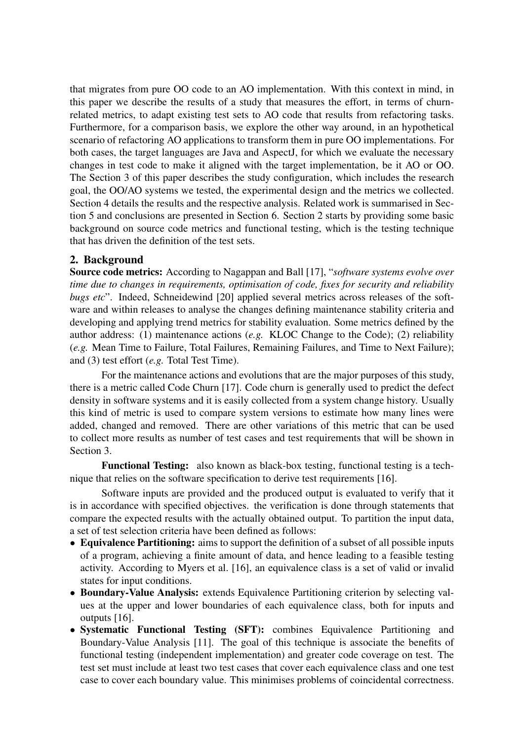that migrates from pure OO code to an AO implementation. With this context in mind, in this paper we describe the results of a study that measures the effort, in terms of churnrelated metrics, to adapt existing test sets to AO code that results from refactoring tasks. Furthermore, for a comparison basis, we explore the other way around, in an hypothetical scenario of refactoring AO applications to transform them in pure OO implementations. For both cases, the target languages are Java and AspectJ, for which we evaluate the necessary changes in test code to make it aligned with the target implementation, be it AO or OO. The Section 3 of this paper describes the study configuration, which includes the research goal, the OO/AO systems we tested, the experimental design and the metrics we collected. Section 4 details the results and the respective analysis. Related work is summarised in Section 5 and conclusions are presented in Section 6. Section 2 starts by providing some basic background on source code metrics and functional testing, which is the testing technique that has driven the definition of the test sets.

# 2. Background

Source code metrics: According to Nagappan and Ball [17], "*software systems evolve over time due to changes in requirements, optimisation of code, fixes for security and reliability bugs etc*". Indeed, Schneidewind [20] applied several metrics across releases of the software and within releases to analyse the changes defining maintenance stability criteria and developing and applying trend metrics for stability evaluation. Some metrics defined by the author address: (1) maintenance actions (*e.g.* KLOC Change to the Code); (2) reliability (*e.g.* Mean Time to Failure, Total Failures, Remaining Failures, and Time to Next Failure); and (3) test effort (*e.g.* Total Test Time).

For the maintenance actions and evolutions that are the major purposes of this study, there is a metric called Code Churn [17]. Code churn is generally used to predict the defect density in software systems and it is easily collected from a system change history. Usually this kind of metric is used to compare system versions to estimate how many lines were added, changed and removed. There are other variations of this metric that can be used to collect more results as number of test cases and test requirements that will be shown in Section 3.

Functional Testing: also known as black-box testing, functional testing is a technique that relies on the software specification to derive test requirements [16].

Software inputs are provided and the produced output is evaluated to verify that it is in accordance with specified objectives. the verification is done through statements that compare the expected results with the actually obtained output. To partition the input data, a set of test selection criteria have been defined as follows:

- Equivalence Partitioning: aims to support the definition of a subset of all possible inputs of a program, achieving a finite amount of data, and hence leading to a feasible testing activity. According to Myers et al. [16], an equivalence class is a set of valid or invalid states for input conditions.
- Boundary-Value Analysis: extends Equivalence Partitioning criterion by selecting values at the upper and lower boundaries of each equivalence class, both for inputs and outputs [16].
- Systematic Functional Testing (SFT): combines Equivalence Partitioning and Boundary-Value Analysis [11]. The goal of this technique is associate the benefits of functional testing (independent implementation) and greater code coverage on test. The test set must include at least two test cases that cover each equivalence class and one test case to cover each boundary value. This minimises problems of coincidental correctness.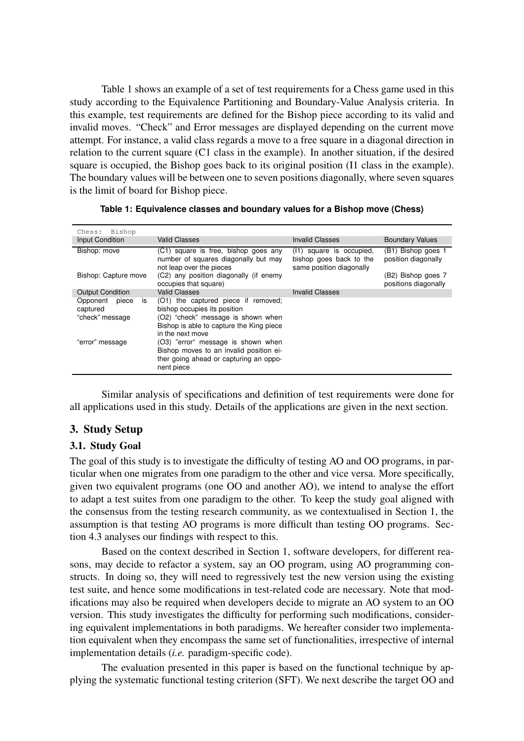Table 1 shows an example of a set of test requirements for a Chess game used in this study according to the Equivalence Partitioning and Boundary-Value Analysis criteria. In this example, test requirements are defined for the Bishop piece according to its valid and invalid moves. "Check" and Error messages are displayed depending on the current move attempt. For instance, a valid class regards a move to a free square in a diagonal direction in relation to the current square (C1 class in the example). In another situation, if the desired square is occupied, the Bishop goes back to its original position (I1 class in the example). The boundary values will be between one to seven positions diagonally, where seven squares is the limit of board for Bishop piece.

| Chess: Bishop<br>Input Condition                       | <b>Valid Classes</b>                                                                                                                                                      | <b>Invalid Classes</b>                                                             | <b>Boundary Values</b>                     |
|--------------------------------------------------------|---------------------------------------------------------------------------------------------------------------------------------------------------------------------------|------------------------------------------------------------------------------------|--------------------------------------------|
| Bishop: move                                           | (C1) square is free, bishop goes any<br>number of squares diagonally but may<br>not leap over the pieces                                                                  | square is occupied.<br>(11)<br>bishop goes back to the<br>same position diagonally | (B1) Bishop goes 1<br>position diagonally  |
| Bishop: Capture move                                   | (C2) any position diagonally (if enemy<br>occupies that square)                                                                                                           |                                                                                    | (B2) Bishop goes 7<br>positions diagonally |
| <b>Output Condition</b>                                | <b>Valid Classes</b>                                                                                                                                                      | <b>Invalid Classes</b>                                                             |                                            |
| piece<br>Opponent<br>is<br>captured<br>"check" message | (O1) the captured piece if removed;<br>bishop occupies its position<br>(O2) "check" message is shown when<br>Bishop is able to capture the King piece<br>in the next move |                                                                                    |                                            |
| "error" message                                        | (O3) "error" message is shown when<br>Bishop moves to an invalid position ei-<br>ther going ahead or capturing an oppo-<br>nent piece                                     |                                                                                    |                                            |

| Table 1: Equivalence classes and boundary values for a Bishop move (Chess) |  |  |  |  |  |
|----------------------------------------------------------------------------|--|--|--|--|--|
|----------------------------------------------------------------------------|--|--|--|--|--|

Similar analysis of specifications and definition of test requirements were done for all applications used in this study. Details of the applications are given in the next section.

## 3. Study Setup

### 3.1. Study Goal

The goal of this study is to investigate the difficulty of testing AO and OO programs, in particular when one migrates from one paradigm to the other and vice versa. More specifically, given two equivalent programs (one OO and another AO), we intend to analyse the effort to adapt a test suites from one paradigm to the other. To keep the study goal aligned with the consensus from the testing research community, as we contextualised in Section 1, the assumption is that testing AO programs is more difficult than testing OO programs. Section 4.3 analyses our findings with respect to this.

Based on the context described in Section 1, software developers, for different reasons, may decide to refactor a system, say an OO program, using AO programming constructs. In doing so, they will need to regressively test the new version using the existing test suite, and hence some modifications in test-related code are necessary. Note that modifications may also be required when developers decide to migrate an AO system to an OO version. This study investigates the difficulty for performing such modifications, considering equivalent implementations in both paradigms. We hereafter consider two implementation equivalent when they encompass the same set of functionalities, irrespective of internal implementation details (*i.e.* paradigm-specific code).

The evaluation presented in this paper is based on the functional technique by applying the systematic functional testing criterion (SFT). We next describe the target OO and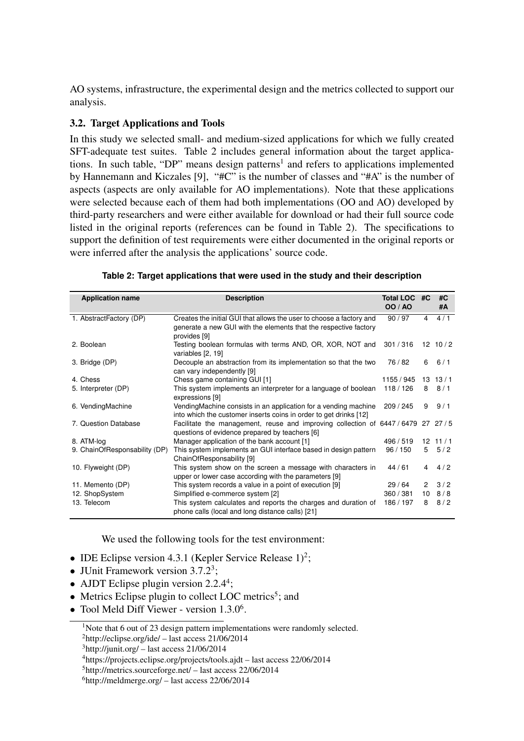AO systems, infrastructure, the experimental design and the metrics collected to support our analysis.

# 3.2. Target Applications and Tools

In this study we selected small- and medium-sized applications for which we fully created SFT-adequate test suites. Table 2 includes general information about the target applications. In such table, "DP" means design patterns<sup>1</sup> and refers to applications implemented by Hannemann and Kiczales [9], "#C" is the number of classes and "#A" is the number of aspects (aspects are only available for AO implementations). Note that these applications were selected because each of them had both implementations (OO and AO) developed by third-party researchers and were either available for download or had their full source code listed in the original reports (references can be found in Table 2). The specifications to support the definition of test requirements were either documented in the original reports or were inferred after the analysis the applications' source code.

| <b>Application name</b>       | <b>Description</b>                                                                                                                   | <b>Total LOC</b><br><b>OO / AO</b> | #C            | #C<br>#A        |
|-------------------------------|--------------------------------------------------------------------------------------------------------------------------------------|------------------------------------|---------------|-----------------|
|                               |                                                                                                                                      |                                    |               |                 |
| 1. AbstractFactory (DP)       | Creates the initial GUI that allows the user to choose a factory and                                                                 | 90/97                              | 4             | 4/1             |
|                               | generate a new GUI with the elements that the respective factory<br>provides [9]                                                     |                                    |               |                 |
| 2. Boolean                    | Testing boolean formulas with terms AND, OR, XOR, NOT and<br>variables [2, 19]                                                       | 301 / 316                          |               | $12 \t10/2$     |
| 3. Bridge (DP)                | Decouple an abstraction from its implementation so that the two<br>can vary independently [9]                                        | 76 / 82                            | 6             | 6/1             |
| 4. Chess                      | Chess game containing GUI [1]                                                                                                        | 1155 / 945                         |               | $13 \quad 13/1$ |
| 5. Interpreter (DP)           | This system implements an interpreter for a language of boolean<br>expressions [9]                                                   | 118 / 126                          | 8             | 8/1             |
| 6. VendingMachine             | VendingMachine consists in an application for a vending machine<br>into which the customer inserts coins in order to get drinks [12] | 209/245                            | 9             | 9/1             |
| 7. Question Database          | Facilitate the management, reuse and improving collection of 6447/6479 27 27/5<br>questions of evidence prepared by teachers [6]     |                                    |               |                 |
| 8. ATM-log                    | Manager application of the bank account [1]                                                                                          | 496 / 519                          |               | $12 \t11/1$     |
| 9. ChainOfResponsability (DP) | This system implements an GUI interface based in design pattern<br>ChainOfResponsability [9]                                         | 96/150                             | 5             | 5/2             |
| 10. Flyweight (DP)            | This system show on the screen a message with characters in<br>upper or lower case according with the parameters [9]                 | 44/61                              | 4             | 4/2             |
| 11. Memento (DP)              | This system records a value in a point of execution [9]                                                                              | 29/64                              | $\mathcal{P}$ | 3/2             |
| 12. ShopSystem                | Simplified e-commerce system [2]                                                                                                     | 360 / 381                          | 10            | 8/8             |
| 13. Telecom                   | This system calculates and reports the charges and duration of                                                                       | 186 / 197                          | 8             | 8/2             |
|                               | phone calls (local and long distance calls) [21]                                                                                     |                                    |               |                 |

We used the following tools for the test environment:

- IDE Eclipse version 4.3.1 (Kepler Service Release  $1)^2$ ;
- JUnit Framework version  $3.7.2^3$ ;
- AJDT Eclipse plugin version 2.2.4<sup>4</sup>;
- Metrics Eclipse plugin to collect LOC metrics<sup>5</sup>; and
- Tool Meld Diff Viewer version  $1.3.0<sup>6</sup>$ .

<sup>&</sup>lt;sup>1</sup>Note that 6 out of 23 design pattern implementations were randomly selected.

<sup>2</sup>http://eclipse.org/ide/ – last access 21/06/2014

 $3$ http://junit.org/ – last access 21/06/2014

<sup>4</sup>https://projects.eclipse.org/projects/tools.ajdt – last access 22/06/2014

<sup>5</sup>http://metrics.sourceforge.net/ – last access 22/06/2014

 $<sup>6</sup>$ http://meldmerge.org/ – last access 22/06/2014</sup>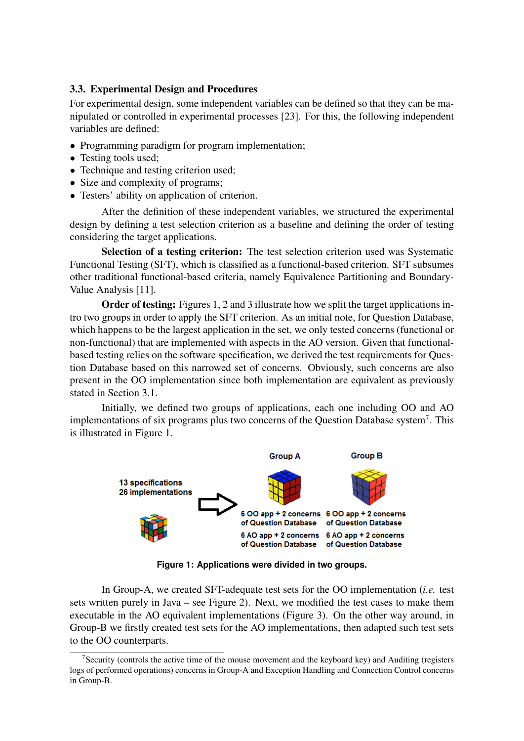# 3.3. Experimental Design and Procedures

For experimental design, some independent variables can be defined so that they can be manipulated or controlled in experimental processes [23]. For this, the following independent variables are defined:

- Programming paradigm for program implementation;
- Testing tools used:
- Technique and testing criterion used;
- Size and complexity of programs;
- Testers' ability on application of criterion.

After the definition of these independent variables, we structured the experimental design by defining a test selection criterion as a baseline and defining the order of testing considering the target applications.

Selection of a testing criterion: The test selection criterion used was Systematic Functional Testing (SFT), which is classified as a functional-based criterion. SFT subsumes other traditional functional-based criteria, namely Equivalence Partitioning and Boundary-Value Analysis [11].

Order of testing: Figures 1, 2 and 3 illustrate how we split the target applications intro two groups in order to apply the SFT criterion. As an initial note, for Question Database, which happens to be the largest application in the set, we only tested concerns (functional or non-functional) that are implemented with aspects in the AO version. Given that functionalbased testing relies on the software specification, we derived the test requirements for Question Database based on this narrowed set of concerns. Obviously, such concerns are also present in the OO implementation since both implementation are equivalent as previously stated in Section 3.1.

Initially, we defined two groups of applications, each one including OO and AO implementations of six programs plus two concerns of the Question Database system<sup>7</sup>. This is illustrated in Figure 1.



**Figure 1: Applications were divided in two groups.**

In Group-A, we created SFT-adequate test sets for the OO implementation (*i.e.* test sets written purely in Java – see Figure 2). Next, we modified the test cases to make them executable in the AO equivalent implementations (Figure 3). On the other way around, in Group-B we firstly created test sets for the AO implementations, then adapted such test sets to the OO counterparts.

<sup>&</sup>lt;sup>7</sup>Security (controls the active time of the mouse movement and the keyboard key) and Auditing (registers logs of performed operations) concerns in Group-A and Exception Handling and Connection Control concerns in Group-B.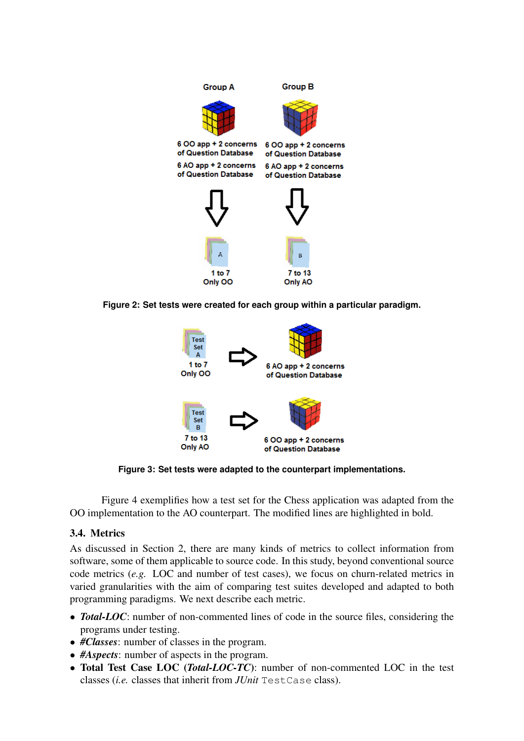





**Figure 3: Set tests were adapted to the counterpart implementations.**

Figure 4 exemplifies how a test set for the Chess application was adapted from the OO implementation to the AO counterpart. The modified lines are highlighted in bold.

# 3.4. Metrics

As discussed in Section 2, there are many kinds of metrics to collect information from software, some of them applicable to source code. In this study, beyond conventional source code metrics (*e.g.* LOC and number of test cases), we focus on churn-related metrics in varied granularities with the aim of comparing test suites developed and adapted to both programming paradigms. We next describe each metric.

- **Total-LOC**: number of non-commented lines of code in the source files, considering the programs under testing.
- *#Classes*: number of classes in the program.
- *#Aspects*: number of aspects in the program.
- Total Test Case LOC (*Total-LOC-TC*): number of non-commented LOC in the test classes (*i.e.* classes that inherit from *JUnit* TestCase class).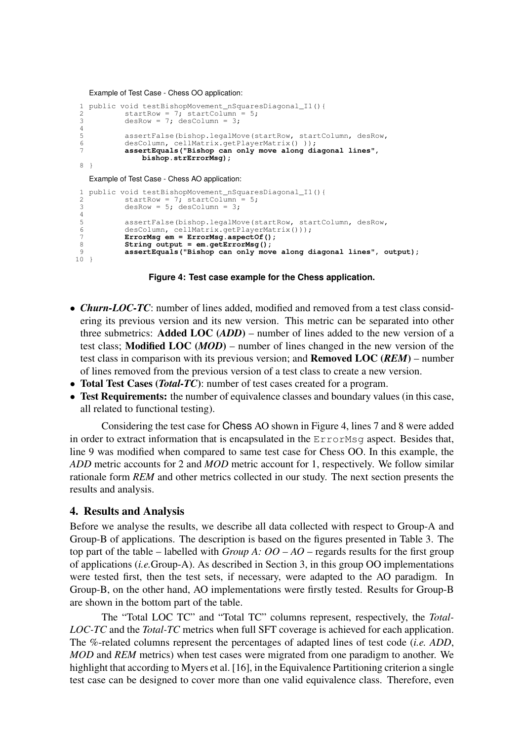Example of Test Case - Chess OO application:

```
1 public void testBishopMovement_nSquaresDiagonal_I1(){<br>2 startRow = 7: startColumn = 5:
2 startRow = 7; startColumn = 5;<br>3 desRow = 7; desColumn = 3;
              desRow = 7; desColumn = 3;\frac{4}{5}5 assertFalse(bishop.legalMove(startRow, startColumn, desRow,<br>6 desColumn, cellMatrix.getPlayerMatrix()));
6 desColumn, cellMatrix.getPlayerMatrix() ));<br>7 assertEquals ("Bishop can only move along di
              7 assertEquals("Bishop can only move along diagonal lines",
                    bishop.strErrorMsg);
8 }
```
Example of Test Case - Chess AO application:

```
1 public void testBishopMovement_nSquaresDiagonal_I1(){<br>2 startRow = 7: startColumn = 5:
 2 startRow = 7; startColumn = 5;
 3 desRow = 5; desColumn = 3;
 4
 5 assertFalse(bishop.legalMove(startRow, startColumn, desRow,<br>6 desColumn, cellMatrix.getPlayerMatrix()));
 6 desColumn, cellMatrix.getPlayerMatrix()));<br>7 ErrorMsq em = ErrorMsq aspectOf():
 7 ErrorMsg em = ErrorMsg.aspectOf();<br>8 String output = em.getErrorMsg():
              8 String output = em.getErrorMsg();
 9 assertEquals("Bishop can only move along diagonal lines", output);
10 }
```
**Figure 4: Test case example for the Chess application.**

- *Churn-LOC-TC*: number of lines added, modified and removed from a test class considering its previous version and its new version. This metric can be separated into other three submetrics: Added LOC (*ADD*) – number of lines added to the new version of a test class; Modified LOC (*MOD*) – number of lines changed in the new version of the test class in comparison with its previous version; and Removed LOC (*REM*) – number of lines removed from the previous version of a test class to create a new version.
- Total Test Cases (*Total-TC*): number of test cases created for a program.
- Test Requirements: the number of equivalence classes and boundary values (in this case, all related to functional testing).

Considering the test case for Chess AO shown in Figure 4, lines 7 and 8 were added in order to extract information that is encapsulated in the ErrorMsg aspect. Besides that, line 9 was modified when compared to same test case for Chess OO. In this example, the *ADD* metric accounts for 2 and *MOD* metric account for 1, respectively. We follow similar rationale form *REM* and other metrics collected in our study. The next section presents the results and analysis.

### 4. Results and Analysis

Before we analyse the results, we describe all data collected with respect to Group-A and Group-B of applications. The description is based on the figures presented in Table 3. The top part of the table – labelled with *Group A:*  $OO - AO$  – regards results for the first group of applications (*i.e.*Group-A). As described in Section 3, in this group OO implementations were tested first, then the test sets, if necessary, were adapted to the AO paradigm. In Group-B, on the other hand, AO implementations were firstly tested. Results for Group-B are shown in the bottom part of the table.

The "Total LOC TC" and "Total TC" columns represent, respectively, the *Total-LOC-TC* and the *Total-TC* metrics when full SFT coverage is achieved for each application. The %-related columns represent the percentages of adapted lines of test code (*i.e. ADD*, *MOD* and *REM* metrics) when test cases were migrated from one paradigm to another. We highlight that according to Myers et al. [16], in the Equivalence Partitioning criterion a single test case can be designed to cover more than one valid equivalence class. Therefore, even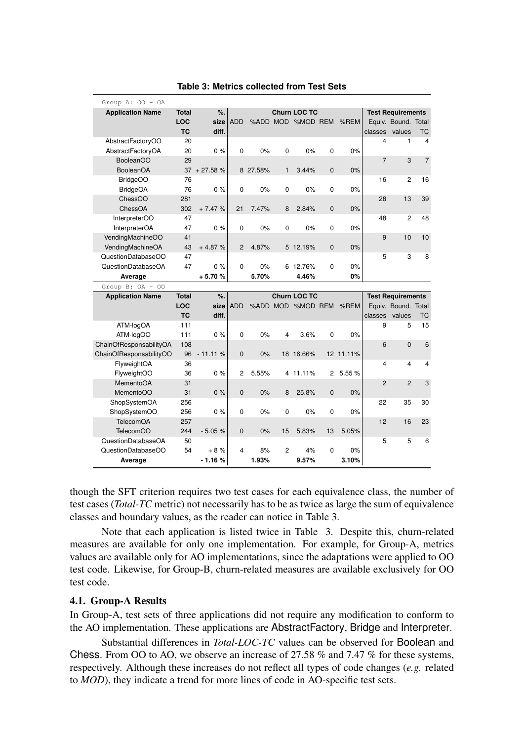| Group A: $00 - 0A$            |              |                   |                |             |                         |                     |                |             |                |                          |                |
|-------------------------------|--------------|-------------------|----------------|-------------|-------------------------|---------------------|----------------|-------------|----------------|--------------------------|----------------|
| <b>Application Name</b>       | <b>Total</b> | %.                |                |             |                         | <b>Churn LOC TC</b> |                |             |                | <b>Test Requirements</b> |                |
|                               | LOC          | size              | <b>ADD</b>     |             |                         | %ADD MOD %MOD REM   |                | $%$ REM     |                | Equiv. Bound. Total      |                |
|                               | <b>TC</b>    | diff.             |                |             |                         |                     |                |             | classes        | values                   | ТC             |
| AbstractFactoryOO             | 20           |                   |                |             |                         |                     |                |             | 4              | $\mathbf{1}$             | 4              |
| AbstractFactoryOA             | 20           | 0%                | $\Omega$       | 0%          | $\mathbf 0$             | 0%                  | 0              | 0%          |                |                          |                |
| <b>BooleanOO</b>              | 29           |                   |                |             |                         |                     |                |             | $\overline{7}$ | 3                        | $\overline{7}$ |
| <b>BooleanOA</b>              |              | $37 + 27.58 \%$   |                | 8 27.58%    | $\mathbf{1}$            | 3.44%               | $\pmb{0}$      | 0%          |                |                          |                |
| <b>BridgeOO</b>               | 76           |                   |                |             |                         |                     |                |             | 16             | $\overline{2}$           | 16             |
| <b>BridgeOA</b>               | 76           | 0%                | 0              | 0%          | 0                       | 0%                  | 0              | 0%          |                |                          |                |
| ChessOO                       | 281          |                   |                |             |                         |                     |                |             | 28             | 13                       | 39             |
| ChessOA                       | 302          | $+7.47%$          | 21             | 7.47%       | 8                       | 2.84%               | $\mathbf 0$    | 0%          |                |                          |                |
| InterpreterOO                 | 47           |                   |                |             |                         |                     |                |             | 48             | $\overline{2}$           | 48             |
| InterpreterOA                 | 47           | 0%                | 0              | 0%          | 0                       | 0%                  | 0              | 0%          |                |                          |                |
| VendingMachineOO              | 41           |                   |                |             |                         |                     |                |             | 9              | 10                       | 10             |
| VendingMachineOA              | 43           | $+4.87%$          | $\overline{2}$ | 4.87%       |                         | 5 12.19%            | $\mathbf 0$    | 0%          |                |                          |                |
| QuestionDatabaseOO            | 47           |                   |                |             |                         |                     |                |             | 5              | 3                        | 8              |
| QuestionDatabaseOA            | 47           | 0%                | 0              | 0%          |                         | 6 12.76%            | 0              | 0%          |                |                          |                |
| Average                       |              | +5.70%            |                | 5.70%       |                         | 4.46%               |                | 0%          |                |                          |                |
|                               |              |                   |                |             |                         |                     |                |             |                |                          |                |
| Group B: $OA - OO$            |              |                   |                |             |                         |                     |                |             |                |                          |                |
| <b>Application Name</b>       | <b>Total</b> | %                 |                |             |                         | <b>Churn LOC TC</b> |                |             |                | <b>Test Requirements</b> |                |
|                               | LOC          | size              | <b>ADD</b>     |             |                         | %ADD MOD %MOD REM   |                | %REM        |                | Equiv. Bound. Total      |                |
|                               | <b>TC</b>    | diff.             |                |             |                         |                     |                |             | classes        | values                   | ТC             |
| ATM-logOA                     | 111          |                   |                |             |                         |                     |                |             | 9              | 5                        | 15             |
| ATM-logOO                     | 111          | 0%                | $\Omega$       | 0%          | $\overline{\mathbf{4}}$ | 3.6%                | 0              | 0%          |                |                          |                |
| ChainOfResponsabilityOA       | 108          |                   |                |             |                         |                     |                |             | 6              | $\mathbf{0}$             | 6              |
| ChainOfResponsabilityOO       | 96           | $-11.11%$         | $\mathbf{0}$   | 0%          |                         | 18 16.66%           |                | 12 11.11%   |                |                          |                |
| FlyweightOA                   | 36           |                   |                |             |                         |                     |                |             | 4              | 4                        | 4              |
| FlyweightOO                   | 36           | 0%                | 2              | 5.55%       |                         | 4 11.11%            | $\overline{2}$ | 5.55 %      |                |                          |                |
| MementoOA                     | 31           |                   |                |             |                         |                     |                |             | $\overline{2}$ | $\overline{2}$           | 3              |
| MementoOO                     | 31           | 0%                | $\Omega$       | 0%          | 8                       | 25.8%               | $\mathbf{0}$   | 0%          |                |                          |                |
| ShopSystemOA                  | 256          |                   |                |             |                         |                     |                |             | 22             | 35                       | 30             |
| ShopSystemOO                  | 256          | $0\%$             | 0              | 0%          | 0                       | 0%                  | 0              | 0%          |                |                          |                |
| <b>TelecomOA</b>              | 257          |                   |                |             |                         |                     |                |             | 12             | 16                       | 23             |
| TelecomOO                     | 244          | $-5.05%$          | $\mathbf 0$    | 0%          | 15                      | 5.83%               | 13             | 5.05%       |                |                          |                |
| QuestionDatabaseOA            | 50           |                   |                |             |                         |                     |                |             | 5              | 5                        | 6              |
| QuestionDatabaseOO<br>Average | 54           | $+8%$<br>$-1.16%$ | 4              | 8%<br>1.93% | $\overline{c}$          | 4%<br>9.57%         | 0              | 0%<br>3.10% |                |                          |                |

#### **Table 3: Metrics collected from Test Sets**

though the SFT criterion requires two test cases for each equivalence class, the number of test cases (*Total-TC* metric) not necessarily has to be as twice as large the sum of equivalence classes and boundary values, as the reader can notice in Table 3.

Note that each application is listed twice in Table 3. Despite this, churn-related measures are available for only one implementation. For example, for Group-A, metrics values are available only for AO implementations, since the adaptations were applied to OO test code. Likewise, for Group-B, churn-related measures are available exclusively for OO test code.

### 4.1. Group-A Results

In Group-A, test sets of three applications did not require any modification to conform to the AO implementation. These applications are AbstractFactory, Bridge and Interpreter.

Substantial differences in *Total-LOC-TC* values can be observed for Boolean and Chess. From OO to AO, we observe an increase of 27.58 % and 7.47 % for these systems, respectively. Although these increases do not reflect all types of code changes (*e.g.* related to *MOD*), they indicate a trend for more lines of code in AO-specific test sets.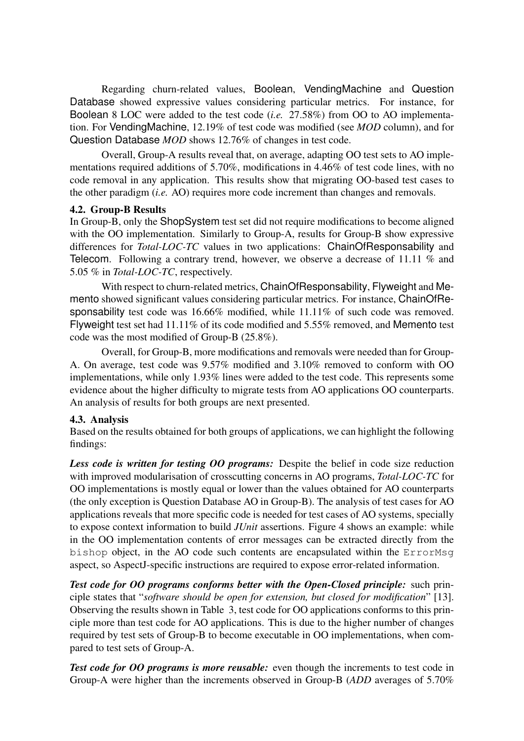Regarding churn-related values, Boolean, VendingMachine and Question Database showed expressive values considering particular metrics. For instance, for Boolean 8 LOC were added to the test code (*i.e.* 27.58%) from OO to AO implementation. For VendingMachine, 12.19% of test code was modified (see *MOD* column), and for Question Database *MOD* shows 12.76% of changes in test code.

Overall, Group-A results reveal that, on average, adapting OO test sets to AO implementations required additions of 5.70%, modifications in 4.46% of test code lines, with no code removal in any application. This results show that migrating OO-based test cases to the other paradigm (*i.e.* AO) requires more code increment than changes and removals.

### 4.2. Group-B Results

In Group-B, only the ShopSystem test set did not require modifications to become aligned with the OO implementation. Similarly to Group-A, results for Group-B show expressive differences for *Total-LOC-TC* values in two applications: ChainOfResponsability and Telecom. Following a contrary trend, however, we observe a decrease of 11.11 % and 5.05 % in *Total-LOC-TC*, respectively.

With respect to churn-related metrics, ChainOfResponsability, Flyweight and Memento showed significant values considering particular metrics. For instance, ChainOfResponsability test code was 16.66% modified, while 11.11% of such code was removed. Flyweight test set had 11.11% of its code modified and 5.55% removed, and Memento test code was the most modified of Group-B (25.8%).

Overall, for Group-B, more modifications and removals were needed than for Group-A. On average, test code was 9.57% modified and 3.10% removed to conform with OO implementations, while only 1.93% lines were added to the test code. This represents some evidence about the higher difficulty to migrate tests from AO applications OO counterparts. An analysis of results for both groups are next presented.

## 4.3. Analysis

Based on the results obtained for both groups of applications, we can highlight the following findings:

*Less code is written for testing OO programs:* Despite the belief in code size reduction with improved modularisation of crosscutting concerns in AO programs, *Total-LOC-TC* for OO implementations is mostly equal or lower than the values obtained for AO counterparts (the only exception is Question Database AO in Group-B). The analysis of test cases for AO applications reveals that more specific code is needed for test cases of AO systems, specially to expose context information to build *JUnit* assertions. Figure 4 shows an example: while in the OO implementation contents of error messages can be extracted directly from the bishop object, in the AO code such contents are encapsulated within the ErrorMsg aspect, so AspectJ-specific instructions are required to expose error-related information.

*Test code for OO programs conforms better with the Open-Closed principle:* such principle states that "*software should be open for extension, but closed for modification*" [13]. Observing the results shown in Table 3, test code for OO applications conforms to this principle more than test code for AO applications. This is due to the higher number of changes required by test sets of Group-B to become executable in OO implementations, when compared to test sets of Group-A.

*Test code for OO programs is more reusable:* even though the increments to test code in Group-A were higher than the increments observed in Group-B (*ADD* averages of 5.70%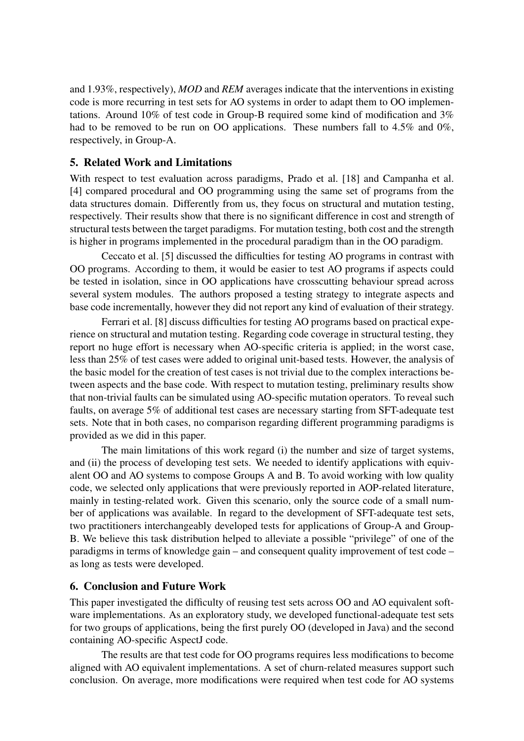and 1.93%, respectively), *MOD* and *REM* averages indicate that the interventions in existing code is more recurring in test sets for AO systems in order to adapt them to OO implementations. Around 10% of test code in Group-B required some kind of modification and 3% had to be removed to be run on OO applications. These numbers fall to 4.5% and 0%, respectively, in Group-A.

# 5. Related Work and Limitations

With respect to test evaluation across paradigms, Prado et al. [18] and Campanha et al. [4] compared procedural and OO programming using the same set of programs from the data structures domain. Differently from us, they focus on structural and mutation testing, respectively. Their results show that there is no significant difference in cost and strength of structural tests between the target paradigms. For mutation testing, both cost and the strength is higher in programs implemented in the procedural paradigm than in the OO paradigm.

Ceccato et al. [5] discussed the difficulties for testing AO programs in contrast with OO programs. According to them, it would be easier to test AO programs if aspects could be tested in isolation, since in OO applications have crosscutting behaviour spread across several system modules. The authors proposed a testing strategy to integrate aspects and base code incrementally, however they did not report any kind of evaluation of their strategy.

Ferrari et al. [8] discuss difficulties for testing AO programs based on practical experience on structural and mutation testing. Regarding code coverage in structural testing, they report no huge effort is necessary when AO-specific criteria is applied; in the worst case, less than 25% of test cases were added to original unit-based tests. However, the analysis of the basic model for the creation of test cases is not trivial due to the complex interactions between aspects and the base code. With respect to mutation testing, preliminary results show that non-trivial faults can be simulated using AO-specific mutation operators. To reveal such faults, on average 5% of additional test cases are necessary starting from SFT-adequate test sets. Note that in both cases, no comparison regarding different programming paradigms is provided as we did in this paper.

The main limitations of this work regard (i) the number and size of target systems, and (ii) the process of developing test sets. We needed to identify applications with equivalent OO and AO systems to compose Groups A and B. To avoid working with low quality code, we selected only applications that were previously reported in AOP-related literature, mainly in testing-related work. Given this scenario, only the source code of a small number of applications was available. In regard to the development of SFT-adequate test sets, two practitioners interchangeably developed tests for applications of Group-A and Group-B. We believe this task distribution helped to alleviate a possible "privilege" of one of the paradigms in terms of knowledge gain – and consequent quality improvement of test code – as long as tests were developed.

## 6. Conclusion and Future Work

This paper investigated the difficulty of reusing test sets across OO and AO equivalent software implementations. As an exploratory study, we developed functional-adequate test sets for two groups of applications, being the first purely OO (developed in Java) and the second containing AO-specific AspectJ code.

The results are that test code for OO programs requires less modifications to become aligned with AO equivalent implementations. A set of churn-related measures support such conclusion. On average, more modifications were required when test code for AO systems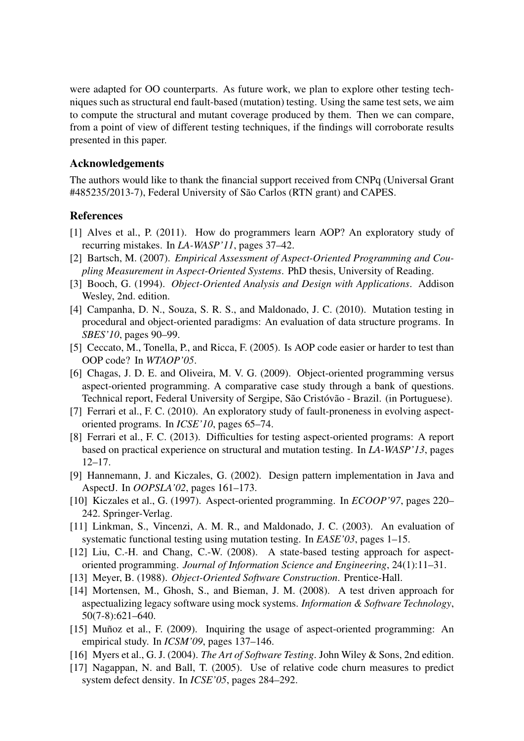were adapted for OO counterparts. As future work, we plan to explore other testing techniques such as structural end fault-based (mutation) testing. Using the same test sets, we aim to compute the structural and mutant coverage produced by them. Then we can compare, from a point of view of different testing techniques, if the findings will corroborate results presented in this paper.

### Acknowledgements

The authors would like to thank the financial support received from CNPq (Universal Grant #485235/2013-7), Federal University of São Carlos (RTN grant) and CAPES.

## References

- [1] Alves et al., P. (2011). How do programmers learn AOP? An exploratory study of recurring mistakes. In *LA-WASP'11*, pages 37–42.
- [2] Bartsch, M. (2007). *Empirical Assessment of Aspect-Oriented Programming and Coupling Measurement in Aspect-Oriented Systems*. PhD thesis, University of Reading.
- [3] Booch, G. (1994). *Object-Oriented Analysis and Design with Applications*. Addison Wesley, 2nd. edition.
- [4] Campanha, D. N., Souza, S. R. S., and Maldonado, J. C. (2010). Mutation testing in procedural and object-oriented paradigms: An evaluation of data structure programs. In *SBES'10*, pages 90–99.
- [5] Ceccato, M., Tonella, P., and Ricca, F. (2005). Is AOP code easier or harder to test than OOP code? In *WTAOP'05*.
- [6] Chagas, J. D. E. and Oliveira, M. V. G. (2009). Object-oriented programming versus aspect-oriented programming. A comparative case study through a bank of questions. Technical report, Federal University of Sergipe, São Cristóvão - Brazil. (in Portuguese).
- [7] Ferrari et al., F. C. (2010). An exploratory study of fault-proneness in evolving aspectoriented programs. In *ICSE'10*, pages 65–74.
- [8] Ferrari et al., F. C. (2013). Difficulties for testing aspect-oriented programs: A report based on practical experience on structural and mutation testing. In *LA-WASP'13*, pages 12–17.
- [9] Hannemann, J. and Kiczales, G. (2002). Design pattern implementation in Java and AspectJ. In *OOPSLA'02*, pages 161–173.
- [10] Kiczales et al., G. (1997). Aspect-oriented programming. In *ECOOP'97*, pages 220– 242. Springer-Verlag.
- [11] Linkman, S., Vincenzi, A. M. R., and Maldonado, J. C. (2003). An evaluation of systematic functional testing using mutation testing. In *EASE'03*, pages 1–15.
- [12] Liu, C.-H. and Chang, C.-W. (2008). A state-based testing approach for aspectoriented programming. *Journal of Information Science and Engineering*, 24(1):11–31.
- [13] Meyer, B. (1988). *Object-Oriented Software Construction*. Prentice-Hall.
- [14] Mortensen, M., Ghosh, S., and Bieman, J. M. (2008). A test driven approach for aspectualizing legacy software using mock systems. *Information & Software Technology*, 50(7-8):621–640.
- [15] Muñoz et al., F. (2009). Inquiring the usage of aspect-oriented programming: An empirical study. In *ICSM'09*, pages 137–146.
- [16] Myers et al., G. J. (2004). *The Art of Software Testing*. John Wiley & Sons, 2nd edition.
- [17] Nagappan, N. and Ball, T. (2005). Use of relative code churn measures to predict system defect density. In *ICSE'05*, pages 284–292.